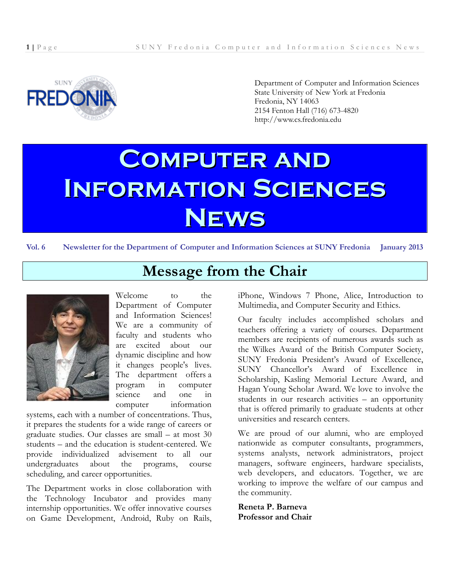

Department of Computer and Information Sciences State University of New York at Fredonia Fredonia, NY 14063 2154 Fenton Hall (716) 673-4820 http://www.cs.fredonia.edu

# **Computer and Information Sciences News**

**Vol. 6 Newsletter for the Department of Computer and Information Sciences at SUNY Fredonia January 2013**

**Message from the Chair**



Welcome to the Department of Computer and Information Sciences! We are a community of faculty and students who are excited about our dynamic discipline and how it changes people's lives. The department offers a program in computer science and one in computer information

systems, each with a number of concentrations. Thus, it prepares the students for a wide range of careers or graduate studies. Our classes are small – at most 30 students – and the education is student-centered. We provide individualized advisement to all our undergraduates about the programs, course scheduling, and career opportunities.

The Department works in close collaboration with the Technology Incubator and provides many internship opportunities. We offer innovative courses on Game Development, Android, Ruby on Rails, iPhone, Windows 7 Phone, Alice, Introduction to Multimedia, and Computer Security and Ethics.

Our faculty includes accomplished scholars and teachers offering a variety of courses. Department members are recipients of numerous awards such as the Wilkes Award of the British Computer Society, SUNY Fredonia President's Award of Excellence, SUNY Chancellor's Award of Excellence in Scholarship, Kasling Memorial Lecture Award, and Hagan Young Scholar Award. We love to involve the students in our research activities – an opportunity that is offered primarily to graduate students at other universities and research centers.

We are proud of our alumni, who are employed nationwide as computer consultants, programmers, systems analysts, network administrators, project managers, software engineers, hardware specialists, web developers, and educators. Together, we are working to improve the welfare of our campus and the community.

**Reneta P. Barneva Professor and Chair**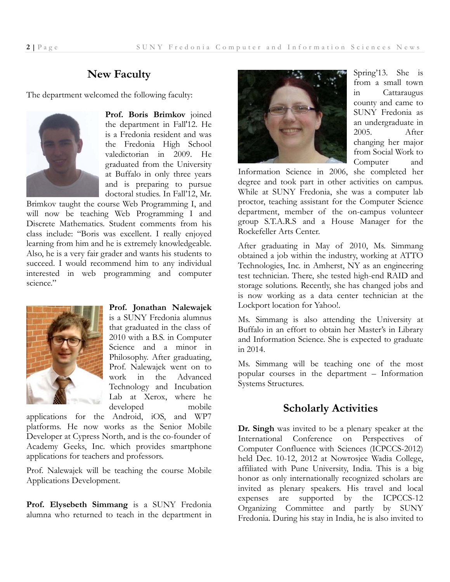#### **New Faculty**

The department welcomed the following faculty:



**Prof. Boris Brimkov** joined the department in Fall'12. He is a Fredonia resident and was the Fredonia High School valedictorian in 2009. He graduated from the University at Buffalo in only three years and is preparing to pursue doctoral studies. In Fall'12, Mr.

Brimkov taught the course Web Programming I, and will now be teaching Web Programming I and Discrete Mathematics. Student comments from his class include: "Boris was excellent. I really enjoyed learning from him and he is extremely knowledgeable. Also, he is a very fair grader and wants his students to succeed. I would recommend him to any individual interested in web programming and computer science."



**Prof. Jonathan Nalewajek**  is a SUNY Fredonia alumnus that graduated in the class of 2010 with a B.S. in Computer Science and a minor in Philosophy. After graduating, Prof. Nalewajek went on to work in the Advanced Technology and Incubation Lab at Xerox, where he developed mobile

applications for the Android, iOS, and WP7 platforms. He now works as the Senior Mobile Developer at Cypress North, and is the co-founder of Academy Geeks, Inc. which provides smartphone applications for teachers and professors.

Prof. Nalewajek will be teaching the course Mobile Applications Development.

**Prof. Elysebeth Simmang** is a SUNY Fredonia alumna who returned to teach in the department in



Spring'13. She is from a small town in Cattaraugus county and came to SUNY Fredonia as an undergraduate in 2005. After changing her major from Social Work to Computer and

Information Science in 2006, she completed her degree and took part in other activities on campus. While at SUNY Fredonia, she was a computer lab proctor, teaching assistant for the Computer Science department, member of the on-campus volunteer group S.T.A.R.S and a House Manager for the Rockefeller Arts Center.

After graduating in May of 2010, Ms. Simmang obtained a job within the industry, working at ATTO Technologies, Inc. in Amherst, NY as an engineering test technician. There, she tested high-end RAID and storage solutions. Recently, she has changed jobs and is now working as a data center technician at the Lockport location for Yahoo!.

Ms. Simmang is also attending the University at Buffalo in an effort to obtain her Master's in Library and Information Science. She is expected to graduate in 2014.

Ms. Simmang will be teaching one of the most popular courses in the department – Information Systems Structures.

#### **Scholarly Activities**

**Dr. Singh** was invited to be a plenary speaker at the International Conference on Perspectives of Computer Confluence with Sciences (ICPCCS-2012) held Dec. 10-12, 2012 at Nowrosjee Wadia College, affiliated with Pune University, India. This is a big honor as only internationally recognized scholars are invited as plenary speakers. His travel and local expenses are supported by the ICPCCS-12 Organizing Committee and partly by SUNY Fredonia. During his stay in India, he is also invited to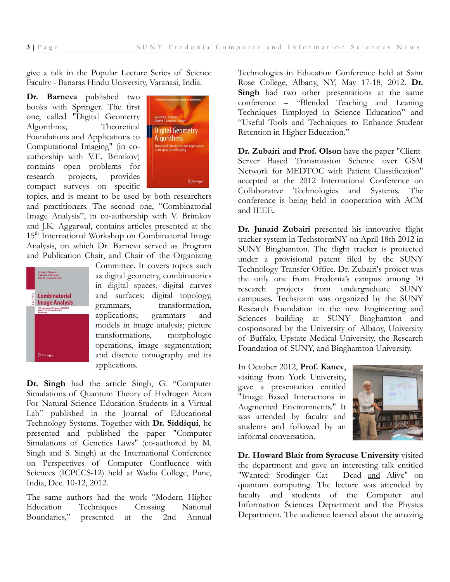give a talk in the Popular Lecture Series of Science Faculty - Banaras Hindu University, Varanasi, India.

**Dr. Barneva** published two books with Springer. The first one, called "Digital Geometry Algorithms; Theoretical Foundations and Applications to Computational Imaging" (in coauthorship with V.E. Brimkov) contains open problems for research projects, provides compact surveys on specific



topics, and is meant to be used by both researchers and practitioners. The second one, "Combinatorial Image Analysis", in co-authorship with V. Brimkov and J.K. Aggarwal, contains articles presented at the 15<sup>th</sup> International Workshop on Combinatorial Image Analysis, on which Dr. Barneva served as Program and Publication Chair, and Chair of the Organizing



Committee. It covers topics such as digital geometry, combinatorics in digital spaces, digital curves and surfaces; digital topology, grammars, transformation, applications; grammars and models in image analysis; picture transformations, morphologic operations, image segmentation; and discrete tomography and its applications.

**Dr. Singh** had the article Singh, G. "Computer Simulations of Quantum Theory of Hydrogen Atom For Natural Science Education Students in a Virtual Lab" published in the Journal of Educational Technology Systems. Together with **Dr. Siddiqui**, he presented and published the paper "Computer Simulations of Genetics Laws" (co-authored by M. Singh and S. Singh) at the International Conference on Perspectives of Computer Confluence with Sciences (ICPCCS-12) held at Wadia College, Pune, India, Dec. 10-12, 2012.

The same authors had the work "Modern Higher Education Techniques Crossing National Boundaries," presented at the 2nd Annual

Technologies in Education Conference held at Saint Rose College, Albany, NY, May 17-18, 2012. **Dr. Singh** had two other presentations at the same conference – "Blended Teaching and Leaning Techniques Employed in Science Education" and "Useful Tools and Techniques to Enhance Student Retention in Higher Education."

**Dr. Zubairi and Prof. Olson** have the paper "Client-Server Based Transmission Scheme over GSM Network for MEDTOC with Patient Classification" accepted at the 2012 International Conference on Collaborative Technologies and Systems. The conference is being held in cooperation with ACM and IEEE.

Dr. Junaid Zubairi presented his innovative flight tracker system in TechstormNY on April 18th 2012 in SUNY Binghamton. The flight tracker is protected under a provisional patent filed by the SUNY Technology Transfer Office. Dr. Zubairi's project was the only one from Fredonia's campus among 10 research projects from undergraduate SUNY campuses. Techstorm was organized by the SUNY Research Foundation in the new Engineering and Sciences building at SUNY Binghamton and cosponsored by the University of Albany, University of Buffalo, Upstate Medical University, the Research Foundation of SUNY, and Binghamton University.

In October 2012, **Prof. Kanev**, visiting from York University, gave a presentation entitled "Image Based Interactions in Augmented Environments." It was attended by faculty and students and followed by an informal conversation.



**Dr. Howard Blair from Syracuse University** visited the department and gave an interesting talk entitled "Wanted: Srodinger Cat - Dead and Alive" on quantum computing. The lecture was attended by faculty and students of the Computer and Information Sciences Department and the Physics Department. The audience learned about the amazing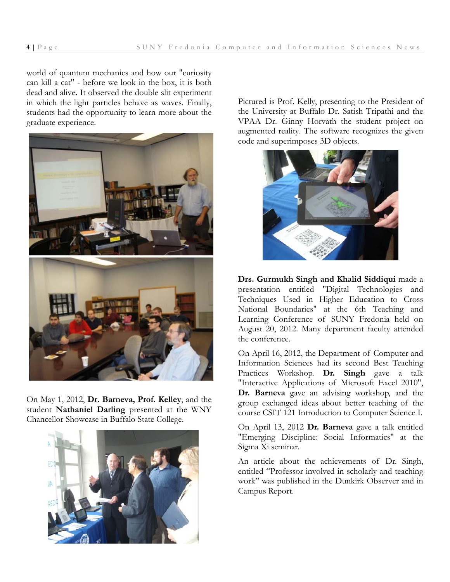world of quantum mechanics and how our "curiosity can kill a cat" - before we look in the box, it is both dead and alive. It observed the double slit experiment in which the light particles behave as waves. Finally, students had the opportunity to learn more about the graduate experience.



On May 1, 2012, **Dr. Barneva, Prof. Kelley**, and the student **Nathaniel Darling** presented at the WNY Chancellor Showcase in Buffalo State College.



Pictured is Prof. Kelly, presenting to the President of the University at Buffalo Dr. Satish Tripathi and the VPAA Dr. Ginny Horvath the student project on augmented reality. The software recognizes the given code and superimposes 3D objects.



**Drs. Gurmukh Singh and Khalid Siddiqui** made a presentation entitled "Digital Technologies and Techniques Used in Higher Education to Cross National Boundaries" at the 6th Teaching and Learning Conference of SUNY Fredonia held on August 20, 2012. Many department faculty attended the conference.

On April 16, 2012, the Department of Computer and Information Sciences had its second Best Teaching Practices Workshop. **Dr. Singh** gave a talk "Interactive Applications of Microsoft Excel 2010", **Dr. Barneva** gave an advising workshop, and the group exchanged ideas about better teaching of the course CSIT 121 Introduction to Computer Science I.

On April 13, 2012 **Dr. Barneva** gave a talk entitled "Emerging Discipline: Social Informatics" at the Sigma Xi seminar.

An article about the achievements of Dr. Singh, entitled "Professor involved in scholarly and teaching work" was published in the Dunkirk Observer and in Campus Report.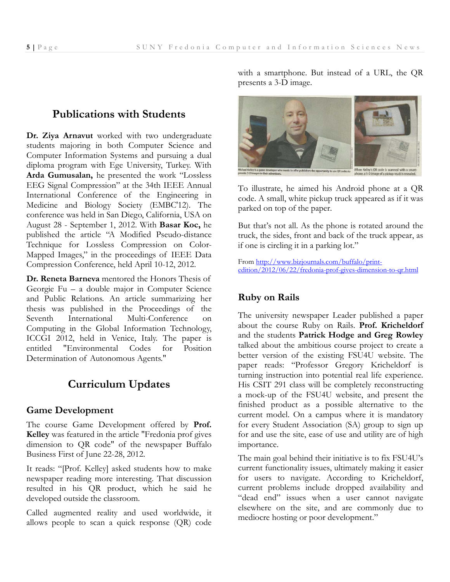## **Publications with Students**

**Dr. Ziya Arnavut** worked with two undergraduate students majoring in both Computer Science and Computer Information Systems and pursuing a dual diploma program with Ege University, Turkey. With **Arda Gumusalan,** he presented the work "Lossless EEG Signal Compression" at the 34th IEEE Annual International Conference of the Engineering in Medicine and Biology Society (EMBC'12). The conference was held in San Diego, California, USA on August 28 - September 1, 2012. With **Basar Koc,** he published the article "A Modified Pseudo-distance Technique for Lossless Compression on Color-Mapped Images," in the proceedings of IEEE Data Compression Conference, held April 10-12, 2012.

**Dr. Reneta Barneva** mentored the Honors Thesis of Georgie Fu – a double major in Computer Science and Public Relations. An article summarizing her thesis was published in the Proceedings of the Seventh International Multi-Conference on Computing in the Global Information Technology, ICCGI 2012, held in Venice, Italy. The paper is entitled "Environmental Codes for Position Determination of Autonomous Agents."

# **Curriculum Updates**

#### **Game Development**

The course Game Development offered by **Prof. Kelley** was featured in the article "Fredonia prof gives dimension to QR code" of the newspaper Buffalo Business First of June 22-28, 2012.

It reads: "[Prof. Kelley] asked students how to make newspaper reading more interesting. That discussion resulted in his QR product, which he said he developed outside the classroom.

Called augmented reality and used worldwide, it allows people to scan a quick response (QR) code

with a smartphone. But instead of a URL, the QR presents a 3-D image.



To illustrate, he aimed his Android phone at a QR code. A small, white pickup truck appeared as if it was parked on top of the paper.

But that's not all. As the phone is rotated around the truck, the sides, front and back of the truck appear, as if one is circling it in a parking lot."

From http://www.bizjournals.com/buffalo/printedition/2012/06/22/fredonia-prof-gives-dimension-to-qr.html

#### **Ruby on Rails**

The university newspaper Leader published a paper about the course Ruby on Rails. **Prof. Kricheldorf** and the students **Patrick Hodge and Greg Rowley** talked about the ambitious course project to create a better version of the existing FSU4U website. The paper reads: "Professor Gregory Kricheldorf is turning instruction into potential real life experience. His CSIT 291 class will be completely reconstructing a mock-up of the FSU4U website, and present the finished product as a possible alternative to the current model. On a campus where it is mandatory for every Student Association (SA) group to sign up for and use the site, ease of use and utility are of high importance.

The main goal behind their initiative is to fix FSU4U's current functionality issues, ultimately making it easier for users to navigate. According to Kricheldorf, current problems include dropped availability and "dead end" issues when a user cannot navigate elsewhere on the site, and are commonly due to mediocre hosting or poor development."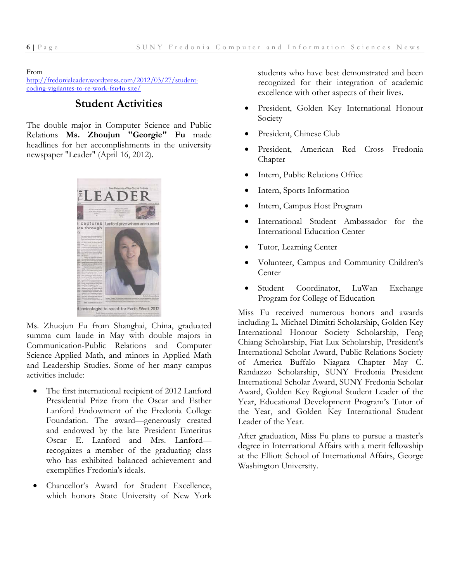#### From

http://fredonialeader.wordpress.com/2012/03/27/studentcoding-vigilantes-to-re-work-fsu4u-site/

### **Student Activities**

The double major in Computer Science and Public Relations **Ms. Zhoujun "Georgie" Fu** made headlines for her accomplishments in the university newspaper "Leader" (April 16, 2012).



Ms. Zhuojun Fu from Shanghai, China, graduated summa cum laude in May with double majors in Communication-Public Relations and Computer Science-Applied Math, and minors in Applied Math and Leadership Studies. Some of her many campus activities include:

- The first international recipient of 2012 Lanford Presidential Prize from the Oscar and Esther Lanford Endowment of the Fredonia College Foundation. The award—generously created and endowed by the late President Emeritus Oscar E. Lanford and Mrs. Lanford recognizes a member of the graduating class who has exhibited balanced achievement and exemplifies Fredonia's ideals.
- Chancellor's Award for Student Excellence, which honors State University of New York

students who have best demonstrated and been recognized for their integration of academic excellence with other aspects of their lives.

- President, Golden Key International Honour Society
- President, Chinese Club
- President, American Red Cross Fredonia Chapter
- Intern, Public Relations Office
- Intern, Sports Information
- Intern, Campus Host Program
- International Student Ambassador for the International Education Center
- Tutor, Learning Center
- Volunteer, Campus and Community Children's Center
- Student Coordinator, LuWan Exchange Program for College of Education

Miss Fu received numerous honors and awards including L. Michael Dimitri Scholarship, Golden Key International Honour Society Scholarship, Feng Chiang Scholarship, Fiat Lux Scholarship, President's International Scholar Award, Public Relations Society of America Buffalo Niagara Chapter May C. Randazzo Scholarship, SUNY Fredonia President International Scholar Award, SUNY Fredonia Scholar Award, Golden Key Regional Student Leader of the Year, Educational Development Program's Tutor of the Year, and Golden Key International Student Leader of the Year.

After graduation, Miss Fu plans to pursue a master's degree in International Affairs with a merit fellowship at the Elliott School of International Affairs, George Washington University.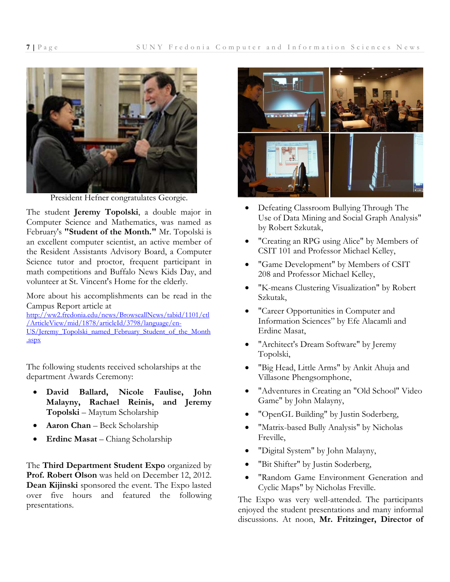

President Hefner congratulates Georgie.

The student **Jeremy Topolski**, a double major in Computer Science and Mathematics, was named as February's **"Student of the Month."** Mr. Topolski is an excellent computer scientist, an active member of the Resident Assistants Advisory Board, a Computer Science tutor and proctor, frequent participant in math competitions and Buffalo News Kids Day, and volunteer at St. Vincent's Home for the elderly.

More about his accomplishments can be read in the Campus Report article at http://ww2.fredonia.edu/news/BrowseallNews/tabid/1101/ctl /ArticleView/mid/1878/articleId/3798/language/en-US/Jeremy\_Topolski\_named\_February\_Student\_of\_the\_Month .aspx

The following students received scholarships at the department Awards Ceremony:

- **David Ballard, Nicole Faulise, John Malayny, Rachael Reinis, and Jeremy Topolski** – Maytum Scholarship
- **Aaron Chan** Beck Scholarship
- **Erdinc Masat** Chiang Scholarship

The **Third Department Student Expo** organized by Prof. Robert Olson was held on December 12, 2012. **Dean Kijinski** sponsored the event. The Expo lasted over five hours and featured the following presentations.



- Defeating Classroom Bullying Through The Use of Data Mining and Social Graph Analysis" by Robert Szkutak,
- "Creating an RPG using Alice" by Members of CSIT 101 and Professor Michael Kelley,
- "Game Development" by Members of CSIT 208 and Professor Michael Kelley,
- "K-means Clustering Visualization" by Robert Szkutak,
- "Career Opportunities in Computer and Information Sciences" by Efe Alacamli and Erdinc Masat,
- "Architect's Dream Software" by Jeremy Topolski,
- "Big Head, Little Arms" by Ankit Ahuja and Villasone Phengsomphone,
- "Adventures in Creating an "Old School" Video Game" by John Malayny,
- "OpenGL Building" by Justin Soderberg,
- "Matrix-based Bully Analysis" by Nicholas Freville,
- "Digital System" by John Malayny,
- "Bit Shifter" by Justin Soderberg,
- "Random Game Environment Generation and Cyclic Maps" by Nicholas Freville.

The Expo was very well-attended. The participants enjoyed the student presentations and many informal discussions. At noon, **Mr. Fritzinger, Director of**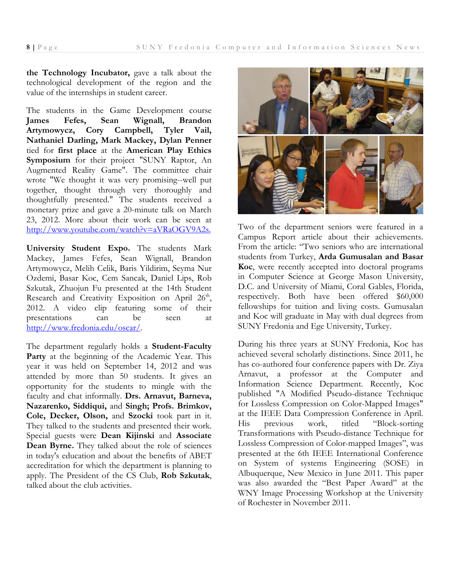**the Technology Incubator,** gave a talk about the technological development of the region and the value of the internships in student career.

The students in the Game Development course **James Fefes, Sean Wignall, Brandon Artymowycz, Cory Campbell, Tyler Vail, Nathaniel Darling, Mark Mackey, Dylan Penner** tied for **first place** at the **American Play Ethics Symposium** for their project "SUNY Raptor, An Augmented Reality Game". The committee chair wrote "We thought it was very promising--well put together, thought through very thoroughly and thoughtfully presented." The students received a monetary prize and gave a 20-minute talk on March 23, 2012. More about their work can be seen at http://www.youtube.com/watch?v=aVRaOGV9A2s.

**University Student Expo.** The students Mark Mackey, James Fefes, Sean Wignall, Brandon Artymowycz, Melih Celik, Baris Yildirim, Seyma Nur Ozdemi, Basar Koc, Cem Sancak, Daniel Lips, Rob Szkutak, Zhuojun Fu presented at the 14th Student Research and Creativity Exposition on April 26<sup>th</sup>, 2012. A video clip featuring some of their presentations can be seen at http://www.fredonia.edu/oscar/.

The department regularly holds a **Student-Faculty**  Party at the beginning of the Academic Year. This year it was held on September 14, 2012 and was attended by more than 50 students. It gives an opportunity for the students to mingle with the faculty and chat informally. **Drs. Arnavut, Barneva, Nazarenko, Siddiqui,** and **Singh; Profs. Brimkov, Cole, Decker, Olson,** and **Szocki** took part in it. They talked to the students and presented their work. Special guests were **Dean Kijinski** and **Associate Dean Byrne.** They talked about the role of sciences in today's education and about the benefits of ABET accreditation for which the department is planning to apply. The President of the CS Club, **Rob Szkutak**, talked about the club activities.



Two of the department seniors were featured in a Campus Report article about their achievements. From the article: "Two seniors who are international students from Turkey, **Arda Gumusalan and Basar Koc**, were recently accepted into doctoral programs in Computer Science at George Mason University, D.C. and University of Miami, Coral Gables, Florida, respectively. Both have been offered \$60,000 fellowships for tuition and living costs. Gumusalan and Koc will graduate in May with dual degrees from SUNY Fredonia and Ege University, Turkey.

During his three years at SUNY Fredonia, Koc has achieved several scholarly distinctions. Since 2011, he has co-authored four conference papers with Dr. Ziya Arnavut, a professor at the Computer and Information Science Department. Recently, Koc published "A Modified Pseudo-distance Technique for Lossless Compression on Color-Mapped Images" at the IEEE Data Compression Conference in April. His previous work, titled "Block-sorting Transformations with Pseudo-distance Technique for Lossless Compression of Color-mapped Images", was presented at the 6th IEEE International Conference on System of systems Engineering (SOSE) in Albuquerque, New Mexico in June 2011. This paper was also awarded the "Best Paper Award" at the WNY Image Processing Workshop at the University of Rochester in November 2011.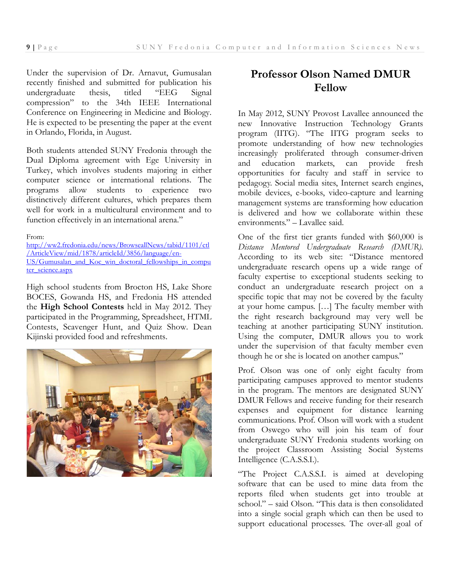Under the supervision of Dr. Arnavut, Gumusalan recently finished and submitted for publication his undergraduate thesis, titled "EEG Signal compression" to the 34th IEEE International Conference on Engineering in Medicine and Biology. He is expected to be presenting the paper at the event in Orlando, Florida, in August.

Both students attended SUNY Fredonia through the Dual Diploma agreement with Ege University in Turkey, which involves students majoring in either computer science or international relations. The programs allow students to experience two distinctively different cultures, which prepares them well for work in a multicultural environment and to function effectively in an international arena."

From:

http://ww2.fredonia.edu/news/BrowseallNews/tabid/1101/ctl /ArticleView/mid/1878/articleId/3856/language/en-US/Gumusalan\_and\_Koc\_win\_doctoral\_fellowships\_in\_compu ter\_science.aspx

High school students from Brocton HS, Lake Shore BOCES, Gowanda HS, and Fredonia HS attended the **High School Contests** held in May 2012. They participated in the Programming, Spreadsheet, HTML Contests, Scavenger Hunt, and Quiz Show. Dean Kijinski provided food and refreshments.



## **Professor Olson Named DMUR Fellow**

In May 2012, SUNY Provost Lavallee announced the new Innovative Instruction Technology Grants program (IITG). "The IITG program seeks to promote understanding of how new technologies increasingly proliferated through consumer-driven and education markets, can provide fresh opportunities for faculty and staff in service to pedagogy. Social media sites, Internet search engines, mobile devices, e-books, video-capture and learning management systems are transforming how education is delivered and how we collaborate within these environments." – Lavallee said.

One of the first tier grants funded with \$60,000 is *Distance Mentored Undergraduate Research (DMUR)*. According to its web site: "Distance mentored undergraduate research opens up a wide range of faculty expertise to exceptional students seeking to conduct an undergraduate research project on a specific topic that may not be covered by the faculty at your home campus. […] The faculty member with the right research background may very well be teaching at another participating SUNY institution. Using the computer, DMUR allows you to work under the supervision of that faculty member even though he or she is located on another campus."

Prof. Olson was one of only eight faculty from participating campuses approved to mentor students in the program. The mentors are designated SUNY DMUR Fellows and receive funding for their research expenses and equipment for distance learning communications. Prof. Olson will work with a student from Oswego who will join his team of four undergraduate SUNY Fredonia students working on the project Classroom Assisting Social Systems Intelligence (C.A.S.S.I.).

"The Project C.A.S.S.I. is aimed at developing software that can be used to mine data from the reports filed when students get into trouble at school." – said Olson. "This data is then consolidated into a single social graph which can then be used to support educational processes. The over-all goal of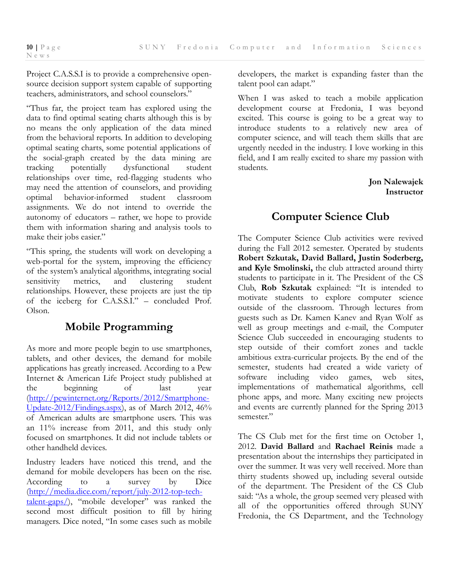Project C.A.S.S.I is to provide a comprehensive opensource decision support system capable of supporting teachers, administrators, and school counselors."

"Thus far, the project team has explored using the data to find optimal seating charts although this is by no means the only application of the data mined from the behavioral reports. In addition to developing optimal seating charts, some potential applications of the social-graph created by the data mining are<br>tracking potentially dysfunctional student tracking potentially dysfunctional student relationships over time, red-flagging students who may need the attention of counselors, and providing optimal behavior-informed student classroom assignments. We do not intend to override the autonomy of educators – rather, we hope to provide them with information sharing and analysis tools to make their jobs easier."

"This spring, the students will work on developing a web-portal for the system, improving the efficiency of the system's analytical algorithms, integrating social sensitivity metrics, and clustering student relationships. However, these projects are just the tip of the iceberg for C.A.S.S.I." – concluded Prof. Olson.

# **Mobile Programming**

As more and more people begin to use smartphones, tablets, and other devices, the demand for mobile applications has greatly increased. According to a Pew Internet & American Life Project study published at the beginning of last year (http://pewinternet.org/Reports/2012/Smartphone-Update-2012/Findings.aspx), as of March 2012, 46% of American adults are smartphone users. This was an 11% increase from 2011, and this study only focused on smartphones. It did not include tablets or other handheld devices.

Industry leaders have noticed this trend, and the demand for mobile developers has been on the rise. According to a survey by Dice (http://media.dice.com/report/july-2012-top-techtalent-gaps/), "mobile developer" was ranked the second most difficult position to fill by hiring managers. Dice noted, "In some cases such as mobile developers, the market is expanding faster than the talent pool can adapt."

When I was asked to teach a mobile application development course at Fredonia, I was beyond excited. This course is going to be a great way to introduce students to a relatively new area of computer science, and will teach them skills that are urgently needed in the industry. I love working in this field, and I am really excited to share my passion with students.

> **Jon Nalewajek Instructor**

# **Computer Science Club**

The Computer Science Club activities were revived during the Fall 2012 semester. Operated by students **Robert Szkutak, David Ballard, Justin Soderberg, and Kyle Smolinski,** the club attracted around thirty students to participate in it. The President of the CS Club, **Rob Szkutak** explained: "It is intended to motivate students to explore computer science outside of the classroom. Through lectures from guests such as Dr. Kamen Kanev and Ryan Wolf as well as group meetings and e-mail, the Computer Science Club succeeded in encouraging students to step outside of their comfort zones and tackle ambitious extra-curricular projects. By the end of the semester, students had created a wide variety of software including video games, web sites, implementations of mathematical algorithms, cell phone apps, and more. Many exciting new projects and events are currently planned for the Spring 2013 semester."

The CS Club met for the first time on October 1, 2012. **David Ballard** and **Rachael Reinis** made a presentation about the internships they participated in over the summer. It was very well received. More than thirty students showed up, including several outside of the department. The President of the CS Club said: "As a whole, the group seemed very pleased with all of the opportunities offered through SUNY Fredonia, the CS Department, and the Technology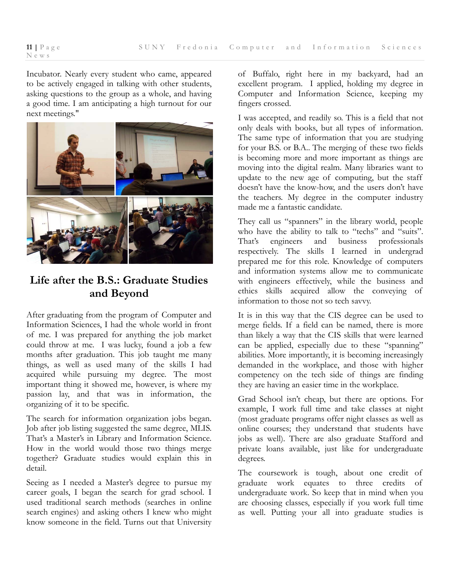Incubator. Nearly every student who came, appeared to be actively engaged in talking with other students, asking questions to the group as a whole, and having a good time. I am anticipating a high turnout for our next meetings."



# **Life after the B.S.: Graduate Studies and Beyond**

After graduating from the program of Computer and Information Sciences, I had the whole world in front of me. I was prepared for anything the job market could throw at me. I was lucky, found a job a few months after graduation. This job taught me many things, as well as used many of the skills I had acquired while pursuing my degree. The most important thing it showed me, however, is where my passion lay, and that was in information, the organizing of it to be specific.

The search for information organization jobs began. Job after job listing suggested the same degree, MLIS. That's a Master's in Library and Information Science. How in the world would those two things merge together? Graduate studies would explain this in detail.

Seeing as I needed a Master's degree to pursue my career goals, I began the search for grad school. I used traditional search methods (searches in online search engines) and asking others I knew who might know someone in the field. Turns out that University

of Buffalo, right here in my backyard, had an excellent program. I applied, holding my degree in Computer and Information Science, keeping my fingers crossed.

I was accepted, and readily so. This is a field that not only deals with books, but all types of information. The same type of information that you are studying for your B.S. or B.A.. The merging of these two fields is becoming more and more important as things are moving into the digital realm. Many libraries want to update to the new age of computing, but the staff doesn't have the know-how, and the users don't have the teachers. My degree in the computer industry made me a fantastic candidate.

They call us "spanners" in the library world, people who have the ability to talk to "techs" and "suits". That's engineers and business professionals respectively. The skills I learned in undergrad prepared me for this role. Knowledge of computers and information systems allow me to communicate with engineers effectively, while the business and ethics skills acquired allow the conveying of information to those not so tech savvy.

It is in this way that the CIS degree can be used to merge fields. If a field can be named, there is more than likely a way that the CIS skills that were learned can be applied, especially due to these "spanning" abilities. More importantly, it is becoming increasingly demanded in the workplace, and those with higher competency on the tech side of things are finding they are having an easier time in the workplace.

Grad School isn't cheap, but there are options. For example, I work full time and take classes at night (most graduate programs offer night classes as well as online courses; they understand that students have jobs as well). There are also graduate Stafford and private loans available, just like for undergraduate degrees.

The coursework is tough, about one credit of graduate work equates to three credits of undergraduate work. So keep that in mind when you are choosing classes, especially if you work full time as well. Putting your all into graduate studies is